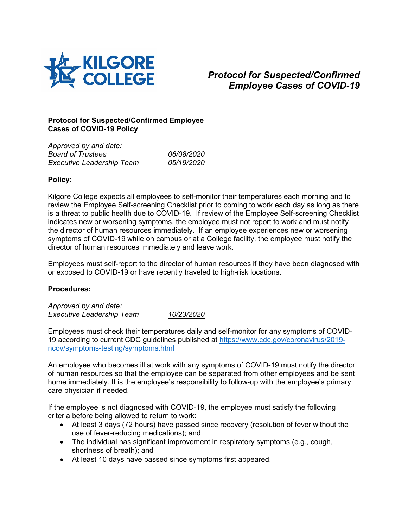

## *Protocol for Suspected/Confirmed Employee Cases of COVID-19*

## **Protocol for Suspected/Confirmed Employee Cases of COVID-19 Policy**

| Approved by and date:            |            |
|----------------------------------|------------|
| <b>Board of Trustees</b>         | 06/08/2020 |
| <b>Executive Leadership Team</b> | 05/19/2020 |

## **Policy:**

Kilgore College expects all employees to self-monitor their temperatures each morning and to review the Employee Self-screening Checklist prior to coming to work each day as long as there is a threat to public health due to COVID-19. If review of the Employee Self-screening Checklist indicates new or worsening symptoms, the employee must not report to work and must notify the director of human resources immediately. If an employee experiences new or worsening symptoms of COVID-19 while on campus or at a College facility, the employee must notify the director of human resources immediately and leave work.

Employees must self-report to the director of human resources if they have been diagnosed with or exposed to COVID-19 or have recently traveled to high-risk locations.

## **Procedures:**

*Approved by and date: Executive Leadership Team 10/23/2020*

Employees must check their temperatures daily and self-monitor for any symptoms of COVID-19 according to current CDC guidelines published at [https://www.cdc.gov/coronavirus/2019](https://www.cdc.gov/coronavirus/2019-ncov/symptoms-testing/symptoms.html) [ncov/symptoms-testing/symptoms.html](https://www.cdc.gov/coronavirus/2019-ncov/symptoms-testing/symptoms.html)

An employee who becomes ill at work with any symptoms of COVID-19 must notify the director of human resources so that the employee can be separated from other employees and be sent home immediately. It is the employee's responsibility to follow-up with the employee's primary care physician if needed.

If the employee is not diagnosed with COVID-19, the employee must satisfy the following criteria before being allowed to return to work:

- At least 3 days (72 hours) have passed since recovery (resolution of fever without the use of fever-reducing medications); and
- The individual has significant improvement in respiratory symptoms (e.g., cough, shortness of breath); and
- At least 10 days have passed since symptoms first appeared.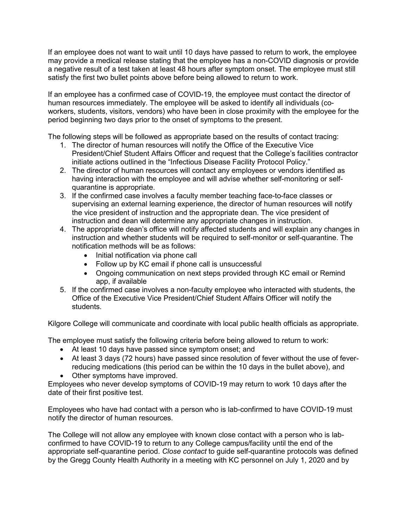If an employee does not want to wait until 10 days have passed to return to work, the employee may provide a medical release stating that the employee has a non-COVID diagnosis or provide a negative result of a test taken at least 48 hours after symptom onset. The employee must still satisfy the first two bullet points above before being allowed to return to work.

If an employee has a confirmed case of COVID-19, the employee must contact the director of human resources immediately. The employee will be asked to identify all individuals (coworkers, students, visitors, vendors) who have been in close proximity with the employee for the period beginning two days prior to the onset of symptoms to the present.

The following steps will be followed as appropriate based on the results of contact tracing:

- 1. The director of human resources will notify the Office of the Executive Vice President/Chief Student Affairs Officer and request that the College's facilities contractor initiate actions outlined in the "Infectious Disease Facility Protocol Policy."
- 2. The director of human resources will contact any employees or vendors identified as having interaction with the employee and will advise whether self-monitoring or selfquarantine is appropriate.
- 3. If the confirmed case involves a faculty member teaching face-to-face classes or supervising an external learning experience, the director of human resources will notify the vice president of instruction and the appropriate dean. The vice president of instruction and dean will determine any appropriate changes in instruction.
- 4. The appropriate dean's office will notify affected students and will explain any changes in instruction and whether students will be required to self-monitor or self-quarantine. The notification methods will be as follows:
	- Initial notification via phone call
	- Follow up by KC email if phone call is unsuccessful
	- Ongoing communication on next steps provided through KC email or Remind app, if available
- 5. If the confirmed case involves a non-faculty employee who interacted with students, the Office of the Executive Vice President/Chief Student Affairs Officer will notify the students.

Kilgore College will communicate and coordinate with local public health officials as appropriate.

The employee must satisfy the following criteria before being allowed to return to work:

- At least 10 days have passed since symptom onset; and
- At least 3 days (72 hours) have passed since resolution of fever without the use of feverreducing medications (this period can be within the 10 days in the bullet above), and
- Other symptoms have improved.

Employees who never develop symptoms of COVID-19 may return to work 10 days after the date of their first positive test.

Employees who have had contact with a person who is lab-confirmed to have COVID-19 must notify the director of human resources.

The College will not allow any employee with known close contact with a person who is labconfirmed to have COVID-19 to return to any College campus/facility until the end of the appropriate self-quarantine period. *Close contact* to guide self-quarantine protocols was defined by the Gregg County Health Authority in a meeting with KC personnel on July 1, 2020 and by